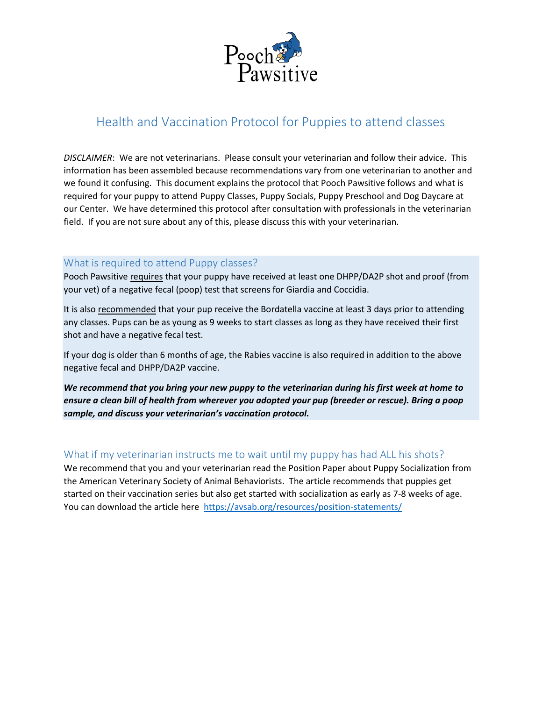

# Health and Vaccination Protocol for Puppies to attend classes

*DISCLAIMER*: We are not veterinarians. Please consult your veterinarian and follow their advice. This information has been assembled because recommendations vary from one veterinarian to another and we found it confusing. This document explains the protocol that Pooch Pawsitive follows and what is required for your puppy to attend Puppy Classes, Puppy Socials, Puppy Preschool and Dog Daycare at our Center. We have determined this protocol after consultation with professionals in the veterinarian field. If you are not sure about any of this, please discuss this with your veterinarian.

## What is required to attend Puppy classes?

Pooch Pawsitive requires that your puppy have received at least one DHPP/DA2P shot and proof (from your vet) of a negative fecal (poop) test that screens for Giardia and Coccidia.

It is also recommended that your pup receive the Bordatella vaccine at least 3 days prior to attending any classes. Pups can be as young as 9 weeks to start classes as long as they have received their first shot and have a negative fecal test.

If your dog is older than 6 months of age, the Rabies vaccine is also required in addition to the above negative fecal and DHPP/DA2P vaccine.

*We recommend that you bring your new puppy to the veterinarian during his first week at home to ensure a clean bill of health from wherever you adopted your pup (breeder or rescue). Bring a poop sample, and discuss your veterinarian's vaccination protocol.*

# What if my veterinarian instructs me to wait until my puppy has had ALL his shots?

We recommend that you and your veterinarian read the Position Paper about Puppy Socialization from the American Veterinary Society of Animal Behaviorists. The article recommends that puppies get started on their vaccination series but also get started with socialization as early as 7-8 weeks of age. You can download the article here <https://avsab.org/resources/position-statements/>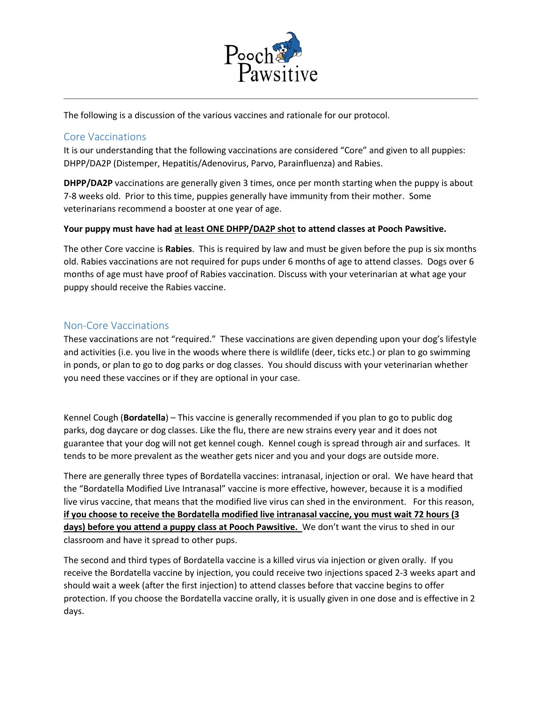

The following is a discussion of the various vaccines and rationale for our protocol.

## Core Vaccinations

It is our understanding that the following vaccinations are considered "Core" and given to all puppies: DHPP/DA2P (Distemper, Hepatitis/Adenovirus, Parvo, Parainfluenza) and Rabies.

**DHPP/DA2P** vaccinations are generally given 3 times, once per month starting when the puppy is about 7-8 weeks old. Prior to this time, puppies generally have immunity from their mother. Some veterinarians recommend a booster at one year of age.

#### **Your puppy must have had at least ONE DHPP/DA2P shot to attend classes at Pooch Pawsitive.**

The other Core vaccine is **Rabies**. This is required by law and must be given before the pup is six months old. Rabies vaccinations are not required for pups under 6 months of age to attend classes. Dogs over 6 months of age must have proof of Rabies vaccination. Discuss with your veterinarian at what age your puppy should receive the Rabies vaccine.

## Non-Core Vaccinations

These vaccinations are not "required." These vaccinations are given depending upon your dog's lifestyle and activities (i.e. you live in the woods where there is wildlife (deer, ticks etc.) or plan to go swimming in ponds, or plan to go to dog parks or dog classes. You should discuss with your veterinarian whether you need these vaccines or if they are optional in your case.

Kennel Cough (**Bordatella**) – This vaccine is generally recommended if you plan to go to public dog parks, dog daycare or dog classes. Like the flu, there are new strains every year and it does not guarantee that your dog will not get kennel cough. Kennel cough is spread through air and surfaces. It tends to be more prevalent as the weather gets nicer and you and your dogs are outside more.

There are generally three types of Bordatella vaccines: intranasal, injection or oral. We have heard that the "Bordatella Modified Live Intranasal" vaccine is more effective, however, because it is a modified live virus vaccine, that means that the modified live virus can shed in the environment. For this reason, **if you choose to receive the Bordatella modified live intranasal vaccine, you must wait 72 hours (3 days) before you attend a puppy class at Pooch Pawsitive.** We don't want the virus to shed in our classroom and have it spread to other pups.

The second and third types of Bordatella vaccine is a killed virus via injection or given orally. If you receive the Bordatella vaccine by injection, you could receive two injections spaced 2-3 weeks apart and should wait a week (after the first injection) to attend classes before that vaccine begins to offer protection. If you choose the Bordatella vaccine orally, it is usually given in one dose and is effective in 2 days.